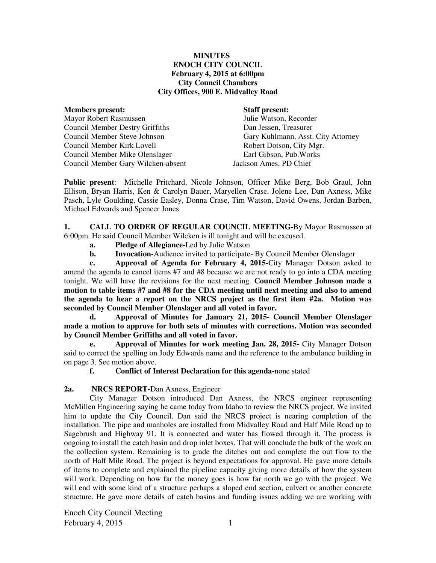#### **MINUTES ENOCH CITY COUNCIL February 4, 2015 at 6:00pm City Council Chambers City Offices, 900 E. Midvalley Road**

| Julie Watson, Recorder  |
|-------------------------|
|                         |
| Dan Jessen, Treasurer   |
| Gary Kuhlmann, Asst. Ci |
| Robert Dotson, City Mgr |
| Earl Gibson, Pub. Works |
| Jackson Ames, PD Chief  |
|                         |

#### **Staff present:**

Julie Watson, Recorder Dan Jessen, Treasurer Gary Kuhlmann, Asst. City Attorney Robert Dotson, City Mgr. Jackson Ames, PD Chief

**Public present**: Michelle Pritchard, Nicole Johnson, Officer Mike Berg, Bob Graul, John Ellison, Bryan Harris, Ken & Carolyn Bauer, Maryellen Crase, Jolene Lee, Dan Axness, Mike Pasch, Lyle Goulding, Cassie Easley, Donna Crase, Tim Watson, David Owens, Jordan Barben, Michael Edwards and Spencer Jones

**1. CALL TO ORDER OF REGULAR COUNCIL MEETING-**By Mayor Rasmussen at 6:00pm. He said Council Member Wilcken is ill tonight and will be excused.

- **a. Pledge of Allegiance-**Led by Julie Watson
- **b. Invocation-**Audience invited to participate- By Council Member Olenslager

 **c. Approval of Agenda for February 4, 2015-**City Manager Dotson asked to amend the agenda to cancel items #7 and #8 because we are not ready to go into a CDA meeting tonight. We will have the revisions for the next meeting. **Council Member Johnson made a motion to table items #7 and #8 for the CDA meeting until next meeting and also to amend the agenda to hear a report on the NRCS project as the first item #2a. Motion was seconded by Council Member Olenslager and all voted in favor.** 

 **d. Approval of Minutes for January 21, 2015- Council Member Olenslager made a motion to approve for both sets of minutes with corrections. Motion was seconded by Council Member Griffiths and all voted in favor.**

 **e. Approval of Minutes for work meeting Jan. 28, 2015-** City Manager Dotson said to correct the spelling on Jody Edwards name and the reference to the ambulance building in on page 3. See motion above.

 **f. Conflict of Interest Declaration for this agenda-**none stated

#### **2a. NRCS REPORT-**Dan Axness, Engineer

City Manager Dotson introduced Dan Axness, the NRCS engineer representing McMillen Engineering saying he came today from Idaho to review the NRCS project. We invited him to update the City Council. Dan said the NRCS project is nearing completion of the installation. The pipe and manholes are installed from Midvalley Road and Half Mile Road up to Sagebrush and Highway 91. It is connected and water has flowed through it. The process is ongoing to install the catch basin and drop inlet boxes. That will conclude the bulk of the work on the collection system. Remaining is to grade the ditches out and complete the out flow to the north of Half Mile Road. The project is beyond expectations for approval. He gave more details of items to complete and explained the pipeline capacity giving more details of how the system will work. Depending on how far the money goes is how far north we go with the project. We will end with some kind of a structure perhaps a sloped end section, culvert or another concrete structure. He gave more details of catch basins and funding issues adding we are working with

Enoch City Council Meeting  $February 4, 2015$  1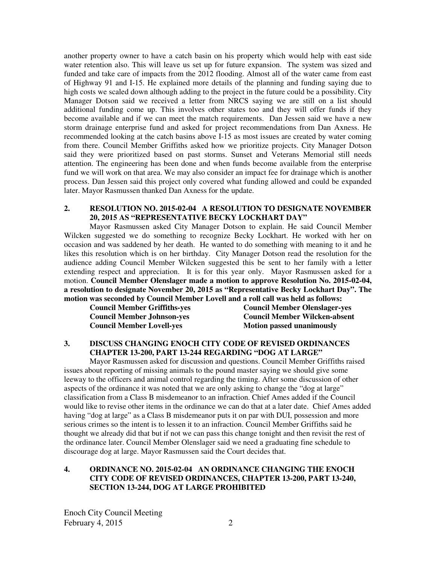another property owner to have a catch basin on his property which would help with east side water retention also. This will leave us set up for future expansion. The system was sized and funded and take care of impacts from the 2012 flooding. Almost all of the water came from east of Highway 91 and I-15. He explained more details of the planning and funding saying due to high costs we scaled down although adding to the project in the future could be a possibility. City Manager Dotson said we received a letter from NRCS saying we are still on a list should additional funding come up. This involves other states too and they will offer funds if they become available and if we can meet the match requirements. Dan Jessen said we have a new storm drainage enterprise fund and asked for project recommendations from Dan Axness. He recommended looking at the catch basins above I-15 as most issues are created by water coming from there. Council Member Griffiths asked how we prioritize projects. City Manager Dotson said they were prioritized based on past storms. Sunset and Veterans Memorial still needs attention. The engineering has been done and when funds become available from the enterprise fund we will work on that area. We may also consider an impact fee for drainage which is another process. Dan Jessen said this project only covered what funding allowed and could be expanded later. Mayor Rasmussen thanked Dan Axness for the update.

#### **2. RESOLUTION NO. 2015-02-04 A RESOLUTION TO DESIGNATE NOVEMBER 20, 2015 AS "REPRESENTATIVE BECKY LOCKHART DAY"**

Mayor Rasmussen asked City Manager Dotson to explain. He said Council Member Wilcken suggested we do something to recognize Becky Lockhart. He worked with her on occasion and was saddened by her death. He wanted to do something with meaning to it and he likes this resolution which is on her birthday. City Manager Dotson read the resolution for the audience adding Council Member Wilcken suggested this be sent to her family with a letter extending respect and appreciation. It is for this year only. Mayor Rasmussen asked for a motion. **Council Member Olenslager made a motion to approve Resolution No. 2015-02-04, a resolution to designate November 20, 2015 as "Representative Becky Lockhart Day". The motion was seconded by Council Member Lovell and a roll call was held as follows:** 

| <b>Council Member Griffiths-yes</b> |  |
|-------------------------------------|--|
| <b>Council Member Johnson-yes</b>   |  |
| <b>Council Member Lovell-yes</b>    |  |

**Council Member Olenslager-yes Council Member Wilcken-absent Motion passed unanimously** 

#### **3. DISCUSS CHANGING ENOCH CITY CODE OF REVISED ORDINANCES CHAPTER 13-200, PART 13-244 REGARDING "DOG AT LARGE"**

Mayor Rasmussen asked for discussion and questions. Council Member Griffiths raised issues about reporting of missing animals to the pound master saying we should give some leeway to the officers and animal control regarding the timing. After some discussion of other aspects of the ordinance it was noted that we are only asking to change the "dog at large" classification from a Class B misdemeanor to an infraction. Chief Ames added if the Council would like to revise other items in the ordinance we can do that at a later date. Chief Ames added having "dog at large" as a Class B misdemeanor puts it on par with DUI, possession and more serious crimes so the intent is to lessen it to an infraction. Council Member Griffiths said he thought we already did that but if not we can pass this change tonight and then revisit the rest of the ordinance later. Council Member Olenslager said we need a graduating fine schedule to discourage dog at large. Mayor Rasmussen said the Court decides that.

#### **4. ORDINANCE NO. 2015-02-04 AN ORDINANCE CHANGING THE ENOCH CITY CODE OF REVISED ORDINANCES, CHAPTER 13-200, PART 13-240, SECTION 13-244, DOG AT LARGE PROHIBITED**

Enoch City Council Meeting February 4, 2015 2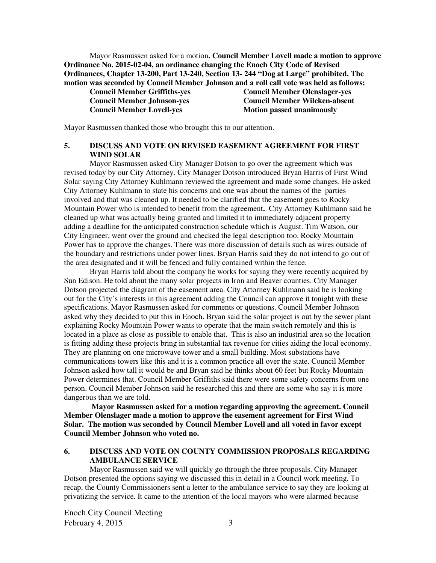Mayor Rasmussen asked for a motion**. Council Member Lovell made a motion to approve Ordinance No. 2015-02-04, an ordinance changing the Enoch City Code of Revised Ordinances, Chapter 13-200, Part 13-240, Section 13- 244 "Dog at Large" prohibited. The motion was seconded by Council Member Johnson and a roll call vote was held as follows:** 

**Council Member Griffiths-yes Council Member Olenslager-yes Council Member Lovell-yes** Motion passed unanimously

**Council Member Johnson-yes Council Member Wilcken-absent** 

Mayor Rasmussen thanked those who brought this to our attention.

## **5. DISCUSS AND VOTE ON REVISED EASEMENT AGREEMENT FOR FIRST WIND SOLAR**

Mayor Rasmussen asked City Manager Dotson to go over the agreement which was revised today by our City Attorney. City Manager Dotson introduced Bryan Harris of First Wind Solar saying City Attorney Kuhlmann reviewed the agreement and made some changes. He asked City Attorney Kuhlmann to state his concerns and one was about the names of the parties involved and that was cleaned up. It needed to be clarified that the easement goes to Rocky Mountain Power who is intended to benefit from the agreement**.** City Attorney Kuhlmann said he cleaned up what was actually being granted and limited it to immediately adjacent property adding a deadline for the anticipated construction schedule which is August. Tim Watson, our City Engineer, went over the ground and checked the legal description too. Rocky Mountain Power has to approve the changes. There was more discussion of details such as wires outside of the boundary and restrictions under power lines. Bryan Harris said they do not intend to go out of the area designated and it will be fenced and fully contained within the fence.

Bryan Harris told about the company he works for saying they were recently acquired by Sun Edison. He told about the many solar projects in Iron and Beaver counties. City Manager Dotson projected the diagram of the easement area. City Attorney Kuhlmann said he is looking out for the City's interests in this agreement adding the Council can approve it tonight with these specifications. Mayor Rasmussen asked for comments or questions. Council Member Johnson asked why they decided to put this in Enoch. Bryan said the solar project is out by the sewer plant explaining Rocky Mountain Power wants to operate that the main switch remotely and this is located in a place as close as possible to enable that. This is also an industrial area so the location is fitting adding these projects bring in substantial tax revenue for cities aiding the local economy. They are planning on one microwave tower and a small building. Most substations have communications towers like this and it is a common practice all over the state. Council Member Johnson asked how tall it would be and Bryan said he thinks about 60 feet but Rocky Mountain Power determines that. Council Member Griffiths said there were some safety concerns from one person. Council Member Johnson said he researched this and there are some who say it is more dangerous than we are told.

 **Mayor Rasmussen asked for a motion regarding approving the agreement. Council Member Olenslager made a motion to approve the easement agreement for First Wind Solar. The motion was seconded by Council Member Lovell and all voted in favor except Council Member Johnson who voted no.** 

#### **6. DISCUSS AND VOTE ON COUNTY COMMISSION PROPOSALS REGARDING AMBULANCE SERVICE**

Mayor Rasmussen said we will quickly go through the three proposals. City Manager Dotson presented the options saying we discussed this in detail in a Council work meeting. To recap, the County Commissioners sent a letter to the ambulance service to say they are looking at privatizing the service. It came to the attention of the local mayors who were alarmed because

Enoch City Council Meeting February 4,  $2015$  3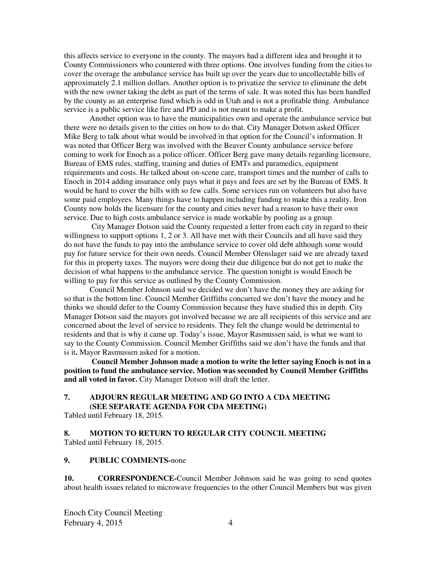this affects service to everyone in the county. The mayors had a different idea and brought it to County Commissioners who countered with three options. One involves funding from the cities to cover the overage the ambulance service has built up over the years due to uncollectable bills of approximately 2.1 million dollars. Another option is to privatize the service to eliminate the debt with the new owner taking the debt as part of the terms of sale. It was noted this has been handled by the county as an enterprise fund which is odd in Utah and is not a profitable thing. Ambulance service is a public service like fire and PD and is not meant to make a profit.

Another option was to have the municipalities own and operate the ambulance service but there were no details given to the cities on how to do that. City Manager Dotson asked Officer Mike Berg to talk about what would be involved in that option for the Council's information. It was noted that Officer Berg was involved with the Beaver County ambulance service before coming to work for Enoch as a police officer. Officer Berg gave many details regarding licensure, Bureau of EMS rules, staffing, training and duties of EMTs and paramedics, equipment requirements and costs. He talked about on-scene care, transport times and the number of calls to Enoch in 2014 adding insurance only pays what it pays and fees are set by the Bureau of EMS. It would be hard to cover the bills with so few calls. Some services run on volunteers but also have some paid employees. Many things have to happen including funding to make this a reality. Iron County now holds the licensure for the county and cities never had a reason to have their own service. Due to high costs ambulance service is made workable by pooling as a group.

 City Manager Dotson said the County requested a letter from each city in regard to their willingness to support options 1, 2 or 3. All have met with their Councils and all have said they do not have the funds to pay into the ambulance service to cover old debt although some would pay for future service for their own needs. Council Member Olenslager said we are already taxed for this in property taxes. The mayors were doing their due diligence but do not get to make the decision of what happens to the ambulance service. The question tonight is would Enoch be willing to pay for this service as outlined by the County Commission.

Council Member Johnson said we decided we don't have the money they are asking for so that is the bottom line. Council Member Griffiths concurred we don't have the money and he thinks we should defer to the County Commission because they have studied this in depth. City Manager Dotson said the mayors got involved because we are all recipients of this service and are concerned about the level of service to residents. They felt the change would be detrimental to residents and that is why it came up. Today's issue, Mayor Rasmussen said, is what we want to say to the County Commission. Council Member Griffiths said we don't have the funds and that is it**.** Mayor Rasmussen asked for a motion.

 **Council Member Johnson made a motion to write the letter saying Enoch is not in a position to fund the ambulance service. Motion was seconded by Council Member Griffiths**  and all voted in favor. City Manager Dotson will draft the letter.

## **7. ADJOURN REGULAR MEETING AND GO INTO A CDA MEETING (SEE SEPARATE AGENDA FOR CDA MEETING)**

Tabled until February 18, 2015.

## **8. MOTION TO RETURN TO REGULAR CITY COUNCIL MEETING** Tabled until February 18, 2015.

#### **9. PUBLIC COMMENTS-**none

**10. CORRESPONDENCE-**Council Member Johnson said he was going to send quotes about health issues related to microwave frequencies to the other Council Members but was given